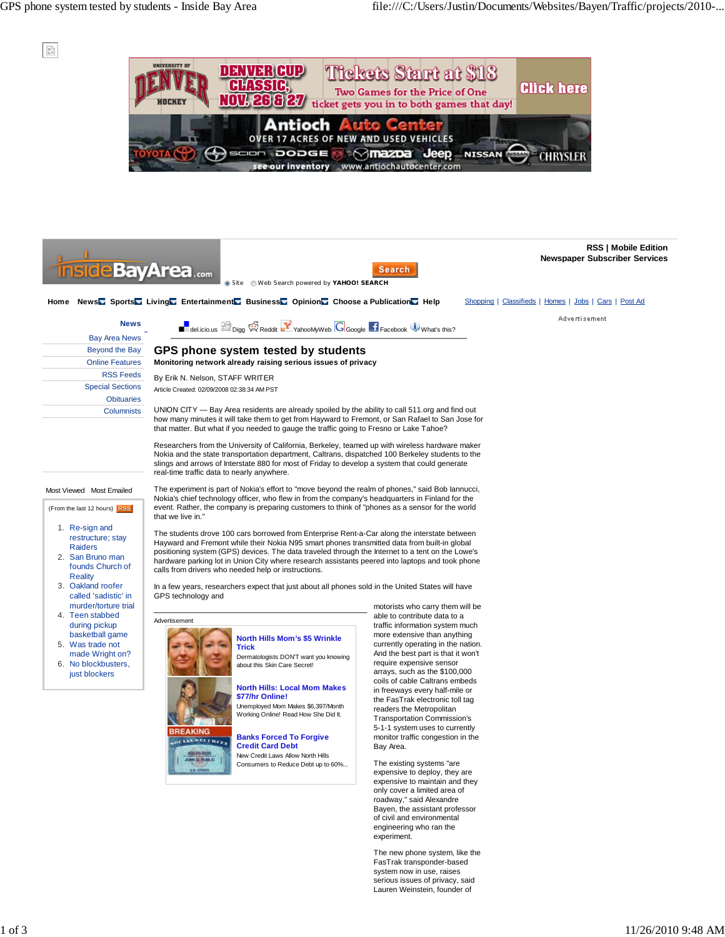$\frac{\mu}{\alpha}$ 

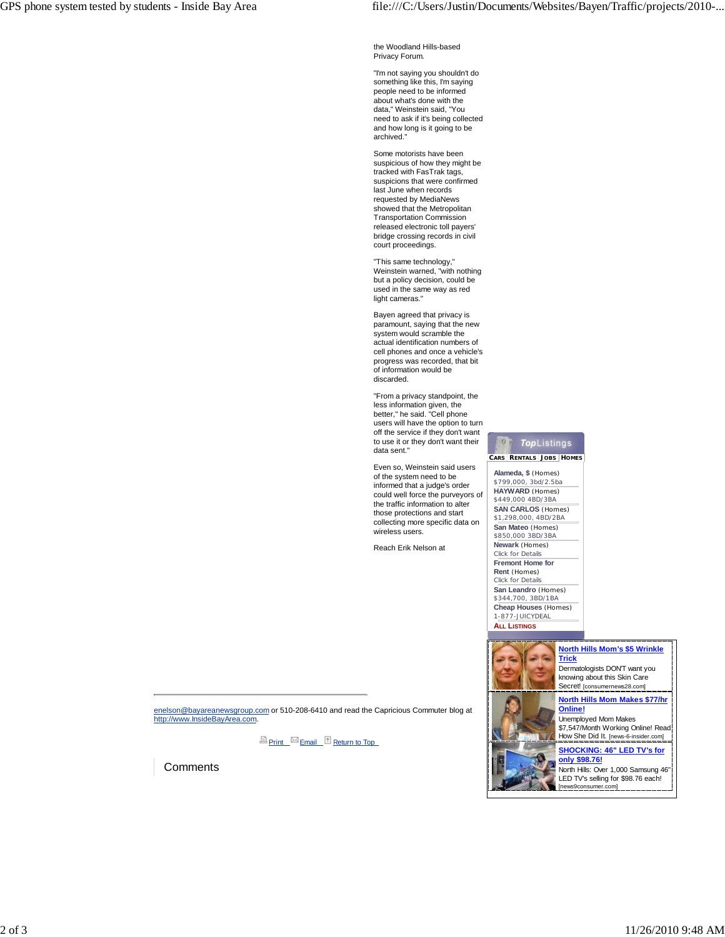the Woodland Hills-based Privacy Forum.

"I'm not saying you shouldn't do something like this, I'm saying people need to be informed about what's done with the data," Weinstein said, "You need to ask if it's being collected and how long is it going to be archived."

Some motorists have been suspicious of how they might be tracked with FasTrak tags, suspicions that were confirmed last June when records requested by MediaNews showed that the Metropolitan Transportation Commission released electronic toll payers' bridge crossing records in civil court proceedings.

"This same technology," Weinstein warned, "with nothing but a policy decision, could be used in the same way as red light cameras."

Bayen agreed that privacy is paramount, saying that the new system would scramble the actual identification numbers of cell phones and once a vehicle's progress was recorded, that bit of information would be discarded.

"From a privacy standpoint, the less information given, the better," he said. "Cell phone users will have the option to turn off the service if they don't want to use it or they don't want their data sent.

Even so, Weinstein said users of the system need to be informed that a judge's order could well force the purveyors of the traffic information to alter those protections and start collecting more specific data on wireless users.

Reach Erik Nelson at

## **TopListings**  $\overline{D}$

 **CARS RENTALS JOBS HOMES**

**Alameda, \$** (Homes) \$799,000, 3bd/2.5ba **HAYWARD** (Homes) \$449,000 4BD/3BA **SAN CARLOS** (Homes) \$1,298,000, 4BD/2BA **San Mateo** (Homes) \$850,000 3BD/3BA **Newark** (Homes) Click for Details **Fremont Home for**

## **Rent** (Homes)

Click for Details **San Leandro** (Homes) \$344,700, 3BD/1BA **Cheap Houses** (Homes) 1-877-JUICYDEAL **ALL LISTINGS**



enelson@bayareanewsgroup.com or 510-208-6410 and read the Capricious Commuter blog at http://www.InsideBayArea.com.

**E** Print Email <sup>1</sup> Return to Top

**Comments**